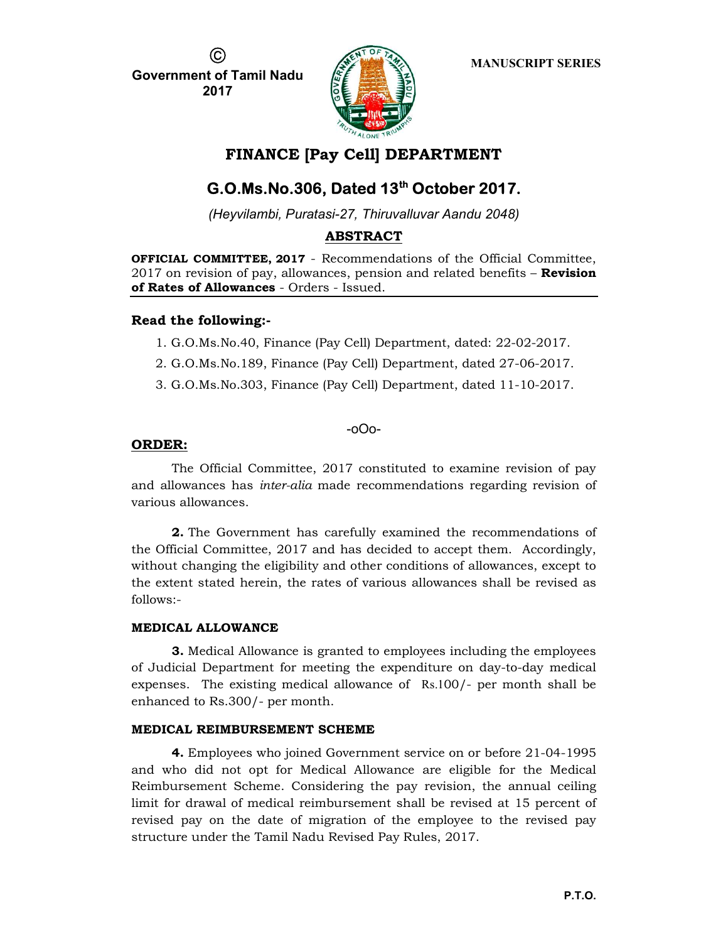(C

Government of Tamil Nadu 2017



MANUSCRIPT SERIES

# FINANCE [Pay Cell] DEPARTMENT

# G.O.Ms.No.306, Dated 13<sup>th</sup> October 2017.

(Heyvilambi, Puratasi-27, Thiruvalluvar Aandu 2048)

## ABSTRACT

OFFICIAL COMMITTEE, 2017 - Recommendations of the Official Committee, 2017 on revision of pay, allowances, pension and related benefits – **Revision** of Rates of Allowances - Orders - Issued.

## Read the following:-

- 1. G.O.Ms.No.40, Finance (Pay Cell) Department, dated: 22-02-2017.
- 2. G.O.Ms.No.189, Finance (Pay Cell) Department, dated 27-06-2017.
- 3. G.O.Ms.No.303, Finance (Pay Cell) Department, dated 11-10-2017.

## -oOo-

## ORDER:

The Official Committee, 2017 constituted to examine revision of pay and allowances has inter-alia made recommendations regarding revision of various allowances.

2. The Government has carefully examined the recommendations of the Official Committee, 2017 and has decided to accept them. Accordingly, without changing the eligibility and other conditions of allowances, except to the extent stated herein, the rates of various allowances shall be revised as follows:-

## MEDICAL ALLOWANCE

**3.** Medical Allowance is granted to employees including the employees of Judicial Department for meeting the expenditure on day-to-day medical expenses. The existing medical allowance of Rs.100/- per month shall be enhanced to Rs.300/- per month.

## MEDICAL REIMBURSEMENT SCHEME

4. Employees who joined Government service on or before 21-04-1995 and who did not opt for Medical Allowance are eligible for the Medical Reimbursement Scheme. Considering the pay revision, the annual ceiling limit for drawal of medical reimbursement shall be revised at 15 percent of revised pay on the date of migration of the employee to the revised pay structure under the Tamil Nadu Revised Pay Rules, 2017.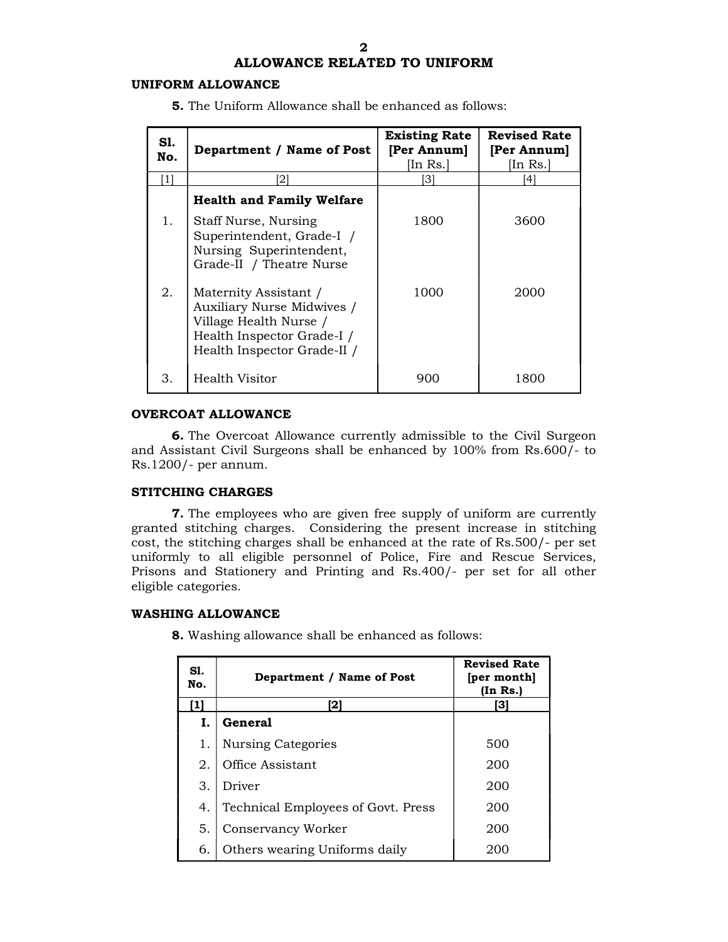## ALLOWANCE RELATED TO UNIFORM

#### UNIFORM ALLOWANCE

5. The Uniform Allowance shall be enhanced as follows:

| S1.<br>No. | Department / Name of Post                                                                                                                  | <b>Existing Rate</b><br>[Per Annum]<br>[In Rs.] | <b>Revised Rate</b><br>[Per Annum]<br>[In Rs.] |
|------------|--------------------------------------------------------------------------------------------------------------------------------------------|-------------------------------------------------|------------------------------------------------|
| [1]        | [2]                                                                                                                                        | 31                                              | <sup>41</sup>                                  |
|            | <b>Health and Family Welfare</b>                                                                                                           |                                                 |                                                |
| ı.         | Staff Nurse, Nursing<br>Superintendent, Grade-I /<br>Nursing Superintendent,<br>Grade-II / Theatre Nurse                                   | 1800                                            | 3600                                           |
| 2.         | Maternity Assistant /<br>Auxiliary Nurse Midwives /<br>Village Health Nurse /<br>Health Inspector Grade-I /<br>Health Inspector Grade-II / | 1000                                            | 2000                                           |
| З.         | Health Visitor                                                                                                                             | 900                                             | 1800                                           |

## OVERCOAT ALLOWANCE

6. The Overcoat Allowance currently admissible to the Civil Surgeon and Assistant Civil Surgeons shall be enhanced by 100% from Rs.600/- to Rs.1200/- per annum.

#### STITCHING CHARGES

7. The employees who are given free supply of uniform are currently granted stitching charges. Considering the present increase in stitching cost, the stitching charges shall be enhanced at the rate of Rs.500/- per set uniformly to all eligible personnel of Police, Fire and Rescue Services, Prisons and Stationery and Printing and Rs.400/- per set for all other eligible categories.

#### WASHING ALLOWANCE

| <b>8.</b> Washing allowance shall be enhanced as follows: |  |
|-----------------------------------------------------------|--|
|-----------------------------------------------------------|--|

| S1.<br>No. | Department / Name of Post          | <b>Revised Rate</b><br>[per month]<br>(In Rs.) |
|------------|------------------------------------|------------------------------------------------|
| 11         | 21                                 | [3]                                            |
| L.         | General                            |                                                |
| 1.         | <b>Nursing Categories</b>          | 500                                            |
| 2.         | Office Assistant                   | 200                                            |
| 3.         | Driver                             | 200                                            |
| 4.         | Technical Employees of Govt. Press | 200                                            |
| 5.         | Conservancy Worker                 | 200                                            |
| 6.         | Others wearing Uniforms daily      | 20C                                            |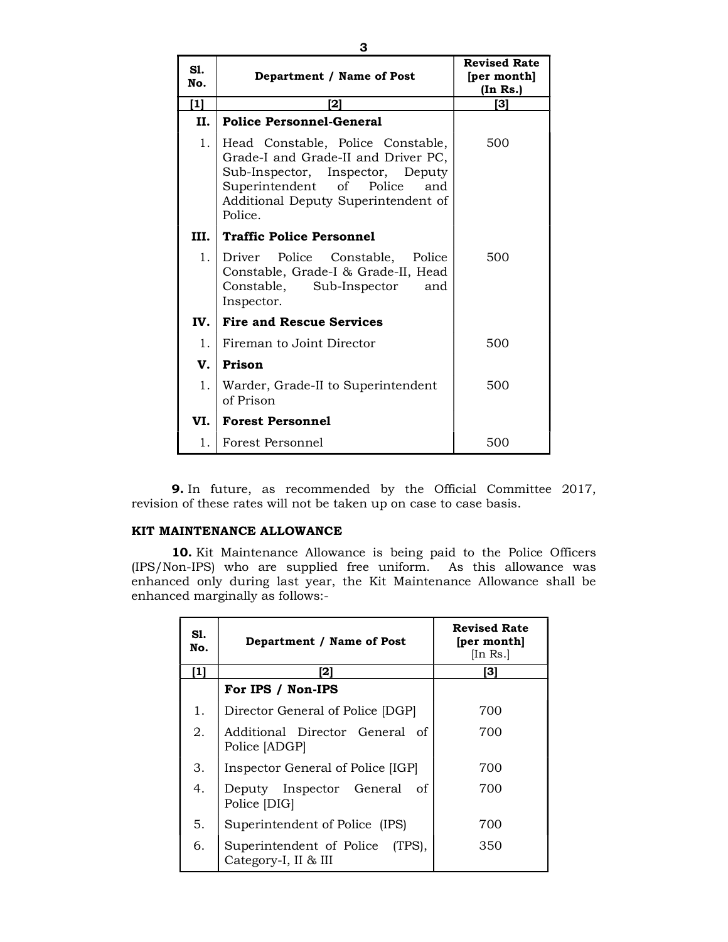| S1.<br>No.  | Department / Name of Post                                                                                                                                                                      | <b>Revised Rate</b><br>[per month]<br>(In Rs.) |
|-------------|------------------------------------------------------------------------------------------------------------------------------------------------------------------------------------------------|------------------------------------------------|
| [1]         | [2]                                                                                                                                                                                            | [3]                                            |
| Н.          | <b>Police Personnel-General</b>                                                                                                                                                                |                                                |
| $1_{\cdot}$ | Head Constable, Police Constable,<br>Grade-I and Grade-II and Driver PC,<br>Sub-Inspector, Inspector, Deputy<br>Superintendent of Police and<br>Additional Deputy Superintendent of<br>Police. | 500                                            |
| III.        | <b>Traffic Police Personnel</b>                                                                                                                                                                |                                                |
| 1.          | Driver Police Constable, Police<br>Constable, Grade-I & Grade-II, Head<br>Constable, Sub-Inspector<br>and<br>Inspector.                                                                        | 500                                            |
| IV.         | <b>Fire and Rescue Services</b>                                                                                                                                                                |                                                |
| 1.          | Fireman to Joint Director                                                                                                                                                                      | 500                                            |
| V.          | Prison                                                                                                                                                                                         |                                                |
| 1.          | Warder, Grade-II to Superintendent<br>of Prison                                                                                                                                                | 500                                            |
| VI.         | <b>Forest Personnel</b>                                                                                                                                                                        |                                                |
| 1.1         | Forest Personnel                                                                                                                                                                               | 500                                            |

9. In future, as recommended by the Official Committee 2017, revision of these rates will not be taken up on case to case basis.

## KIT MAINTENANCE ALLOWANCE

10. Kit Maintenance Allowance is being paid to the Police Officers (IPS/Non-IPS) who are supplied free uniform. As this allowance was enhanced only during last year, the Kit Maintenance Allowance shall be enhanced marginally as follows:-

| SI.<br>No. | Department / Name of Post                               | <b>Revised Rate</b><br>[per month]<br>[In Rs.] |
|------------|---------------------------------------------------------|------------------------------------------------|
| [1]        | 21                                                      | [3]                                            |
|            | For IPS / Non-IPS                                       |                                                |
| 1.         | Director General of Police [DGP]                        | 700                                            |
| 2.         | Additional Director General of<br>Police [ADGP]         | 700                                            |
| 3.         | Inspector General of Police [IGP]                       | 700                                            |
| 4.         | Deputy Inspector General of<br>Police [DIG]             | 700                                            |
| 5.         | Superintendent of Police (IPS)                          | 700                                            |
| 6.         | Superintendent of Police (TPS),<br>Category-I, II & III | 350                                            |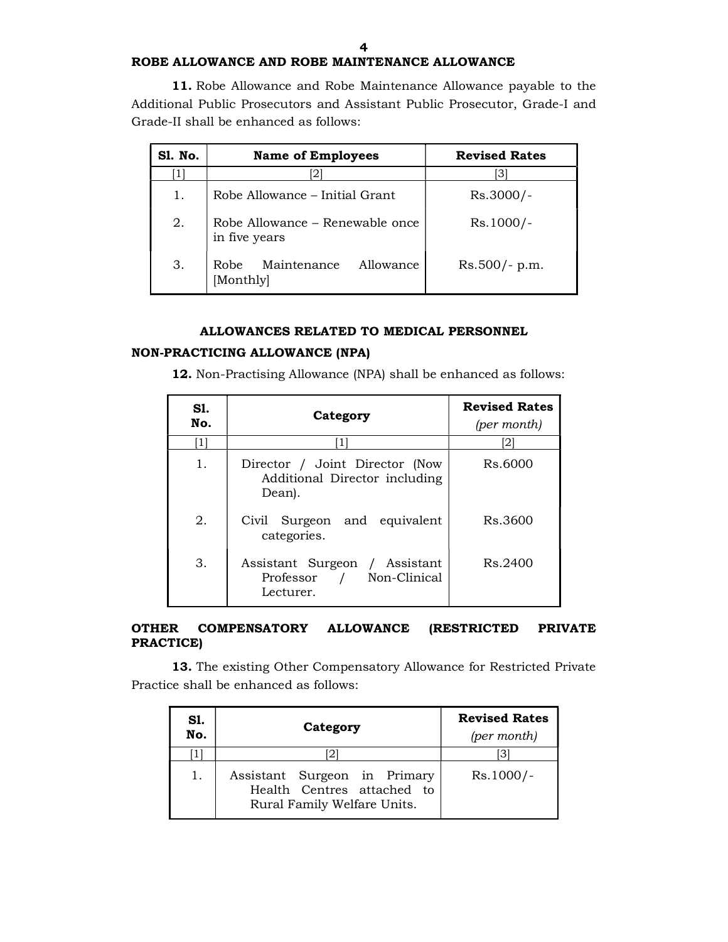## ROBE ALLOWANCE AND ROBE MAINTENANCE ALLOWANCE

11. Robe Allowance and Robe Maintenance Allowance payable to the Additional Public Prosecutors and Assistant Public Prosecutor, Grade-I and Grade-II shall be enhanced as follows:

| Sl. No. | <b>Name of Employees</b>                         | <b>Revised Rates</b> |
|---------|--------------------------------------------------|----------------------|
|         |                                                  | 31                   |
| 1.      | Robe Allowance – Initial Grant                   | $Rs.3000/-$          |
| 2.      | Robe Allowance – Renewable once<br>in five years | $Rs.1000/-$          |
| 3.      | Maintenance<br>Allowance<br>Robe<br>Monthly      | $Rs.500/- p.m.$      |

#### ALLOWANCES RELATED TO MEDICAL PERSONNEL

## NON-PRACTICING ALLOWANCE (NPA)

12. Non-Practising Allowance (NPA) shall be enhanced as follows:

| S1.<br>No.     | Category                                                                  | <b>Revised Rates</b><br>(per month) |
|----------------|---------------------------------------------------------------------------|-------------------------------------|
| 1 <sup>1</sup> | [1]                                                                       | 12                                  |
| 1.             | Director / Joint Director (Now<br>Additional Director including<br>Dean). | Rs.6000                             |
| 2.             | Civil Surgeon and equivalent<br>categories.                               | Rs.3600                             |
| 3.             | Assistant Surgeon / Assistant<br>Professor / Non-Clinical<br>Lecturer.    | Rs.2400                             |

#### OTHER COMPENSATORY ALLOWANCE (RESTRICTED PRIVATE PRACTICE)

13. The existing Other Compensatory Allowance for Restricted Private Practice shall be enhanced as follows:

| SI.<br>No. | Category                                                                                  | <b>Revised Rates</b><br>(per month) |
|------------|-------------------------------------------------------------------------------------------|-------------------------------------|
|            |                                                                                           | .31                                 |
| 1.         | Assistant Surgeon in Primary<br>Health Centres attached to<br>Rural Family Welfare Units. | $Rs.1000/-$                         |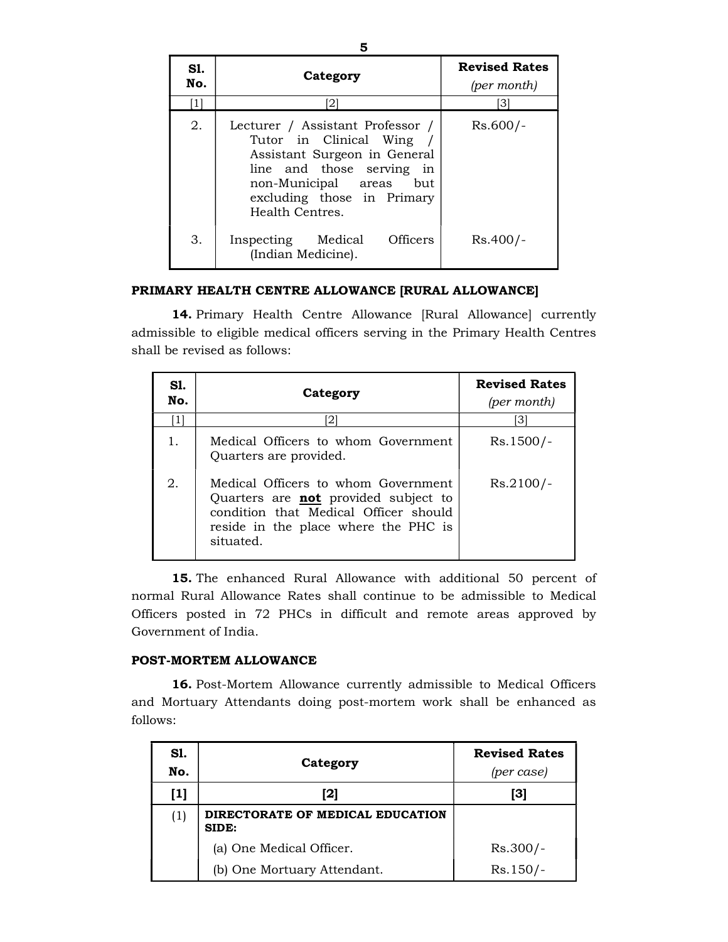| SI.<br>No. | Category                                                                                                                                                                                               | <b>Revised Rates</b><br>(per month) |
|------------|--------------------------------------------------------------------------------------------------------------------------------------------------------------------------------------------------------|-------------------------------------|
|            | 2                                                                                                                                                                                                      | 31                                  |
| 2.         | Lecturer / Assistant Professor /<br>Tutor in Clinical Wing<br>Assistant Surgeon in General<br>line and those serving in<br>non-Municipal areas<br>but<br>excluding those in Primary<br>Health Centres. | $Rs.600/-$                          |
| 3.         | <b>Officers</b><br>Inspecting Medical<br>(Indian Medicine).                                                                                                                                            | $Rs.400/-$                          |

## PRIMARY HEALTH CENTRE ALLOWANCE [RURAL ALLOWANCE]

14. Primary Health Centre Allowance [Rural Allowance] currently admissible to eligible medical officers serving in the Primary Health Centres shall be revised as follows:

| S1.<br>No. | Category                                                                                                                                                                         | <b>Revised Rates</b><br>(per month) |
|------------|----------------------------------------------------------------------------------------------------------------------------------------------------------------------------------|-------------------------------------|
|            | [2]                                                                                                                                                                              | 31                                  |
| 1.         | Medical Officers to whom Government<br>Quarters are provided.                                                                                                                    | $Rs.1500/-$                         |
| 2.         | Medical Officers to whom Government<br>Quarters are <b>not</b> provided subject to<br>condition that Medical Officer should<br>reside in the place where the PHC is<br>situated. | $Rs.2100/-$                         |

15. The enhanced Rural Allowance with additional 50 percent of normal Rural Allowance Rates shall continue to be admissible to Medical Officers posted in 72 PHCs in difficult and remote areas approved by Government of India.

## POST-MORTEM ALLOWANCE

16. Post-Mortem Allowance currently admissible to Medical Officers and Mortuary Attendants doing post-mortem work shall be enhanced as follows:

| S1.<br>No. | Category                                  | <b>Revised Rates</b><br>(per case) |
|------------|-------------------------------------------|------------------------------------|
| [1]        | [2]                                       | [3]                                |
| (1)        | DIRECTORATE OF MEDICAL EDUCATION<br>SIDE: |                                    |
|            | (a) One Medical Officer.                  | $Rs.300/-$                         |
|            | (b) One Mortuary Attendant.               | $Rs.150/-$                         |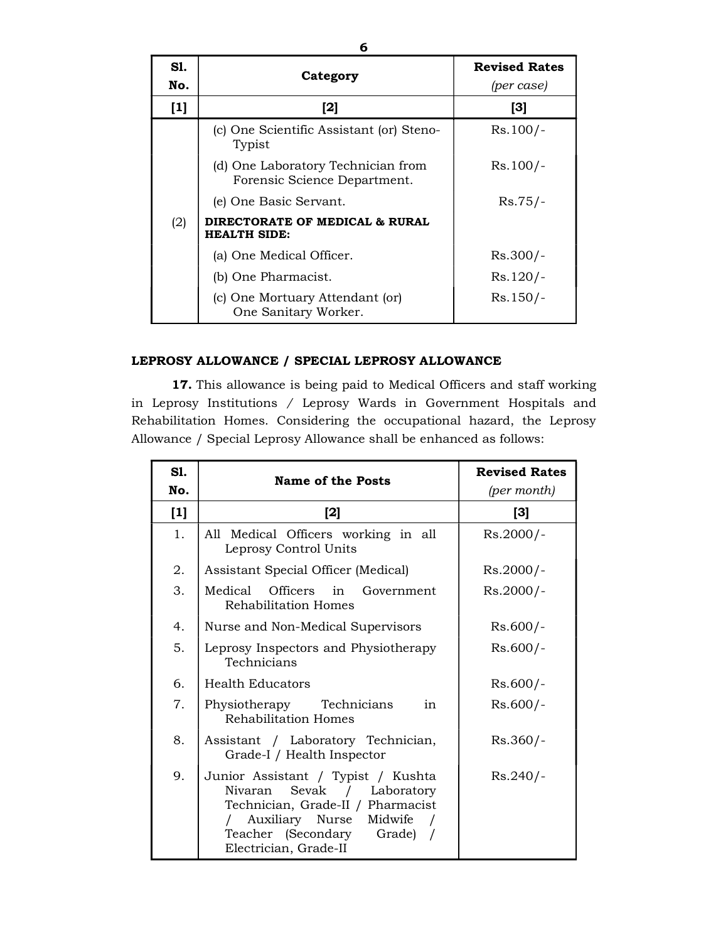| S1.<br>No. | Category                                                           | <b>Revised Rates</b><br>(per case) |
|------------|--------------------------------------------------------------------|------------------------------------|
| $[1]$      | $[2]$                                                              | [3]                                |
|            | (c) One Scientific Assistant (or) Steno-<br>Typist                 | $Rs.100/-$                         |
|            | (d) One Laboratory Technician from<br>Forensic Science Department. | $Rs.100/-$                         |
|            | (e) One Basic Servant.                                             | $Rs.75/-$                          |
| (2)        | DIRECTORATE OF MEDICAL & RURAL<br><b>HEALTH SIDE:</b>              |                                    |
|            | (a) One Medical Officer.                                           | $Rs.300/-$                         |
|            | (b) One Pharmacist.                                                | $Rs.120/-$                         |
|            | (c) One Mortuary Attendant (or)<br>One Sanitary Worker.            | $Rs.150/-$                         |

## LEPROSY ALLOWANCE / SPECIAL LEPROSY ALLOWANCE

17. This allowance is being paid to Medical Officers and staff working in Leprosy Institutions / Leprosy Wards in Government Hospitals and Rehabilitation Homes. Considering the occupational hazard, the Leprosy Allowance / Special Leprosy Allowance shall be enhanced as follows:

| <b>S1.</b><br>No. | Name of the Posts                                                                                                                                                                              | <b>Revised Rates</b><br>(per month) |
|-------------------|------------------------------------------------------------------------------------------------------------------------------------------------------------------------------------------------|-------------------------------------|
| $[1]$             | $[2]$                                                                                                                                                                                          | $[3]$                               |
| 1.                | All Medical Officers working in all<br>Leprosy Control Units                                                                                                                                   | $Rs.2000/-$                         |
| 2.                | Assistant Special Officer (Medical)                                                                                                                                                            | $Rs.2000/-$                         |
| 3.                | Medical Officers in Government<br>Rehabilitation Homes                                                                                                                                         | $Rs.2000/-$                         |
| 4.                | Nurse and Non-Medical Supervisors                                                                                                                                                              | $Rs.600/-$                          |
| 5.                | Leprosy Inspectors and Physiotherapy<br>Technicians                                                                                                                                            | $Rs.600/-$                          |
| 6.                | <b>Health Educators</b>                                                                                                                                                                        | $Rs.600/-$                          |
| 7.                | Physiotherapy Technicians<br>in<br>Rehabilitation Homes                                                                                                                                        | $Rs.600/-$                          |
| 8.                | Assistant / Laboratory Technician,<br>Grade-I / Health Inspector                                                                                                                               | $Rs.360/-$                          |
| 9.                | Junior Assistant / Typist / Kushta<br>Sevak / Laboratory<br>Nivaran<br>Technician, Grade-II / Pharmacist<br>Auxiliary Nurse<br>Midwife<br>Teacher (Secondary Grade) /<br>Electrician, Grade-II | $Rs.240/-$                          |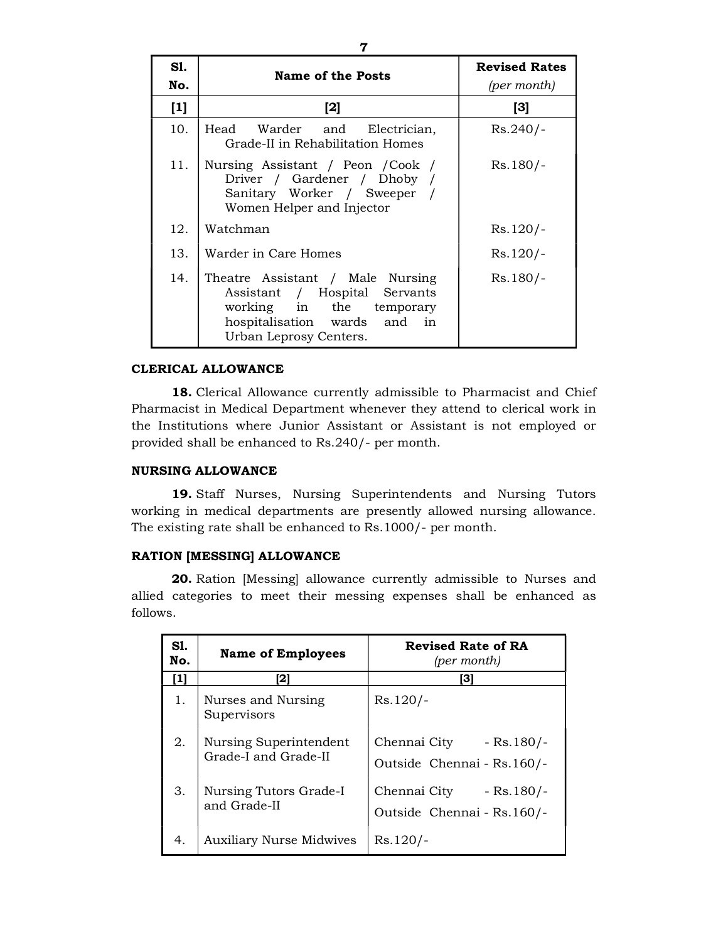| Sl.<br>No. | Name of the Posts                                                                                                                                       | <b>Revised Rates</b><br>(per month) |
|------------|---------------------------------------------------------------------------------------------------------------------------------------------------------|-------------------------------------|
| $[1]$      | $[2]$                                                                                                                                                   | $[3]$                               |
| 10.        | Head Warder and Electrician,<br>Grade-II in Rehabilitation Homes                                                                                        | $Rs.240/-$                          |
| 11.        | Nursing Assistant / Peon / Cook /<br>Driver / Gardener / Dhoby /<br>Sanitary Worker / Sweeper /<br>Women Helper and Injector                            | $Rs.180/-$                          |
| 12.        | Watchman                                                                                                                                                | $Rs.120/-$                          |
| 13.        | Warder in Care Homes                                                                                                                                    | $Rs.120/-$                          |
| 14.        | Theatre Assistant / Male Nursing<br>Assistant / Hospital Servants<br>working in the temporary<br>hospitalisation wards and in<br>Urban Leprosy Centers. | $Rs.180/-$                          |

## CLERICAL ALLOWANCE

18. Clerical Allowance currently admissible to Pharmacist and Chief Pharmacist in Medical Department whenever they attend to clerical work in the Institutions where Junior Assistant or Assistant is not employed or provided shall be enhanced to Rs.240/- per month.

#### NURSING ALLOWANCE

19. Staff Nurses, Nursing Superintendents and Nursing Tutors working in medical departments are presently allowed nursing allowance. The existing rate shall be enhanced to Rs.1000/- per month.

#### RATION [MESSING] ALLOWANCE

20. Ration [Messing] allowance currently admissible to Nurses and allied categories to meet their messing expenses shall be enhanced as follows.

| <b>S1.</b><br>No. | <b>Name of Employees</b>                       | <b>Revised Rate of RA</b><br>(per month)                  |
|-------------------|------------------------------------------------|-----------------------------------------------------------|
|                   | 121                                            | [3]                                                       |
| 1.                | Nurses and Nursing<br>Supervisors              | $Rs.120/-$                                                |
| 2.                | Nursing Superintendent<br>Grade-I and Grade-II | Chennai City<br>$-Rs.180/-$<br>Outside Chennai - Rs.160/- |
| 3.                | Nursing Tutors Grade-I<br>and Grade-II         | Chennai City<br>$-Rs.180/-$<br>Outside Chennai - Rs.160/- |
| 4.                | <b>Auxiliary Nurse Midwives</b>                | $Rs.120/-$                                                |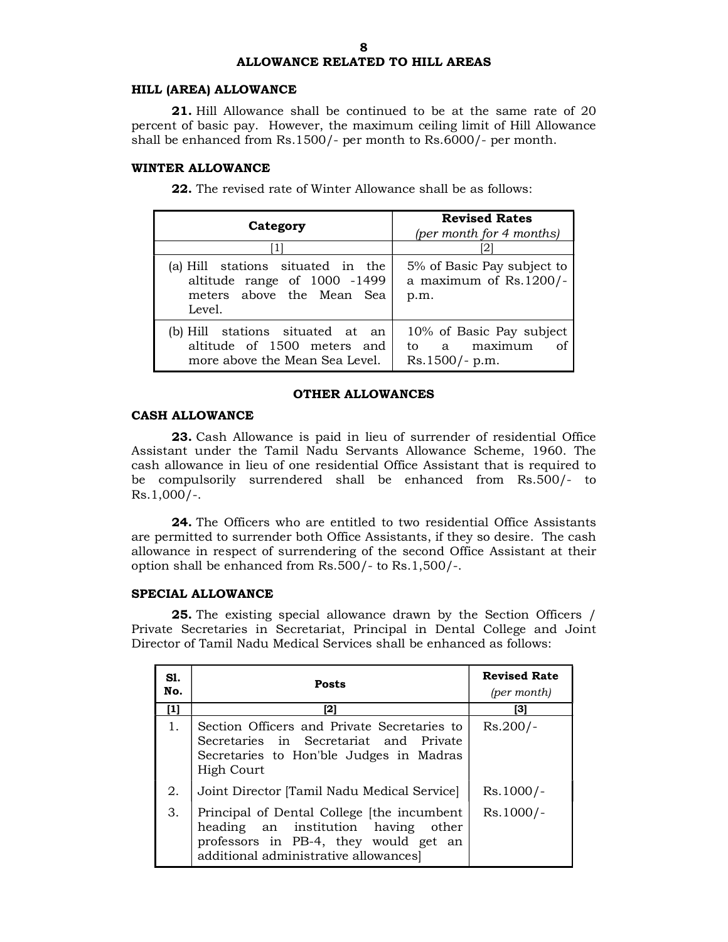# ALLOWANCE RELATED TO HILL AREAS

#### HILL (AREA) ALLOWANCE

21. Hill Allowance shall be continued to be at the same rate of 20 percent of basic pay. However, the maximum ceiling limit of Hill Allowance shall be enhanced from Rs.1500/- per month to Rs.6000/- per month.

#### WINTER ALLOWANCE

22. The revised rate of Winter Allowance shall be as follows:

| Category                                                                                                 | <b>Revised Rates</b><br>(per month for 4 months)                   |
|----------------------------------------------------------------------------------------------------------|--------------------------------------------------------------------|
|                                                                                                          |                                                                    |
| (a) Hill stations situated in the<br>altitude range of 1000 -1499<br>meters above the Mean Sea<br>Level. | 5% of Basic Pay subject to<br>a maximum of Rs.1200/-<br>p.m.       |
| (b) Hill stations situated at an<br>altitude of 1500 meters and<br>more above the Mean Sea Level.        | 10% of Basic Pay subject<br>to a maximum<br>of<br>$Rs.1500/- p.m.$ |

#### OTHER ALLOWANCES

#### CASH ALLOWANCE

23. Cash Allowance is paid in lieu of surrender of residential Office Assistant under the Tamil Nadu Servants Allowance Scheme, 1960. The cash allowance in lieu of one residential Office Assistant that is required to be compulsorily surrendered shall be enhanced from Rs.500/- to  $Rs.1,000/-.$ 

24. The Officers who are entitled to two residential Office Assistants are permitted to surrender both Office Assistants, if they so desire. The cash allowance in respect of surrendering of the second Office Assistant at their option shall be enhanced from Rs.500/- to Rs.1,500/-.

#### SPECIAL ALLOWANCE

25. The existing special allowance drawn by the Section Officers / Private Secretaries in Secretariat, Principal in Dental College and Joint Director of Tamil Nadu Medical Services shall be enhanced as follows:

| S1.<br>No. | <b>Posts</b>                                                                                                                                                            | <b>Revised Rate</b><br>(per month) |
|------------|-------------------------------------------------------------------------------------------------------------------------------------------------------------------------|------------------------------------|
| [1]        | [2]                                                                                                                                                                     | [3]                                |
| 1.         | Section Officers and Private Secretaries to<br>Secretaries in Secretariat and Private<br>Secretaries to Hon'ble Judges in Madras<br>High Court                          | $Rs.200/-$                         |
| 2.         | Joint Director [Tamil Nadu Medical Service]                                                                                                                             | $Rs.1000/-$                        |
| 3.         | Principal of Dental College [the incumbent]<br>heading an institution having<br>other<br>professors in PB-4, they would get an<br>additional administrative allowances] | $Rs.1000/-$                        |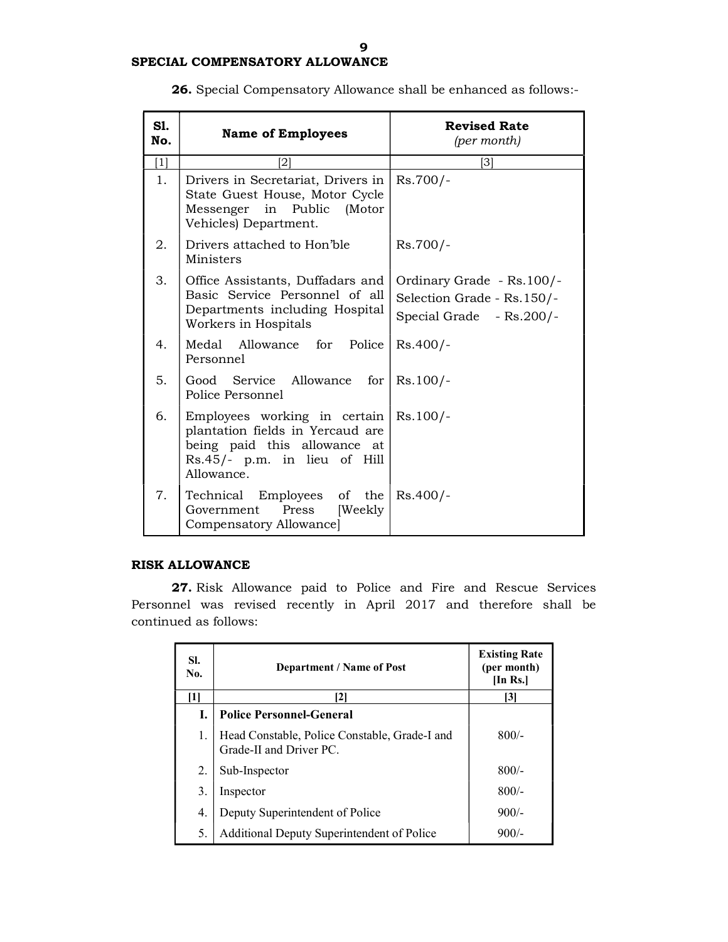| <b>S1.</b><br>No. | <b>Name of Employees</b>                                                                                                                                                 | <b>Revised Rate</b><br>(per month)                                                    |
|-------------------|--------------------------------------------------------------------------------------------------------------------------------------------------------------------------|---------------------------------------------------------------------------------------|
| $\lceil 1 \rceil$ | 21                                                                                                                                                                       | [3]                                                                                   |
| 1.                | Drivers in Secretariat, Drivers in<br>State Guest House, Motor Cycle<br>Messenger in Public<br>(Motor<br>Vehicles) Department.                                           | $Rs.700/-$                                                                            |
| 2.                | Drivers attached to Hon'ble<br>Ministers                                                                                                                                 | $Rs.700/-$                                                                            |
| 3.                | Office Assistants, Duffadars and<br>Basic Service Personnel of all<br>Departments including Hospital<br>Workers in Hospitals                                             | Ordinary Grade - Rs. 100/-<br>Selection Grade - Rs. 150/-<br>Special Grade - Rs.200/- |
| 4.                | Medal Allowance for Police<br>Personnel                                                                                                                                  | $Rs.400/-$                                                                            |
| 5.                | Good Service Allowance for Rs.100/-<br>Police Personnel                                                                                                                  |                                                                                       |
| 6.                | Employees working in certain $\left  \right.$ Rs.100/-<br>plantation fields in Yercaud are<br>being paid this allowance at<br>Rs.45/- p.m. in lieu of Hill<br>Allowance. |                                                                                       |
| 7.                | Technical Employees of the   Rs.400/-<br>Press<br>[Weekly<br>Government<br>Compensatory Allowance]                                                                       |                                                                                       |

26. Special Compensatory Allowance shall be enhanced as follows:-

## RISK ALLOWANCE

27. Risk Allowance paid to Police and Fire and Rescue Services Personnel was revised recently in April 2017 and therefore shall be continued as follows:

| SI.<br>No. | <b>Department / Name of Post</b>                                         | <b>Existing Rate</b><br>(per month)<br>[In Rs.] |
|------------|--------------------------------------------------------------------------|-------------------------------------------------|
| [1]        | [2]                                                                      | [3]                                             |
| L.         | <b>Police Personnel-General</b>                                          |                                                 |
| 1.         | Head Constable, Police Constable, Grade-I and<br>Grade-II and Driver PC. | $800/-$                                         |
| 2.         | Sub-Inspector                                                            | $800/-$                                         |
| 3.         | Inspector                                                                | $800/-$                                         |
| 4.         | Deputy Superintendent of Police                                          | $900/-$                                         |
| 5.         | Additional Deputy Superintendent of Police                               | $900/-$                                         |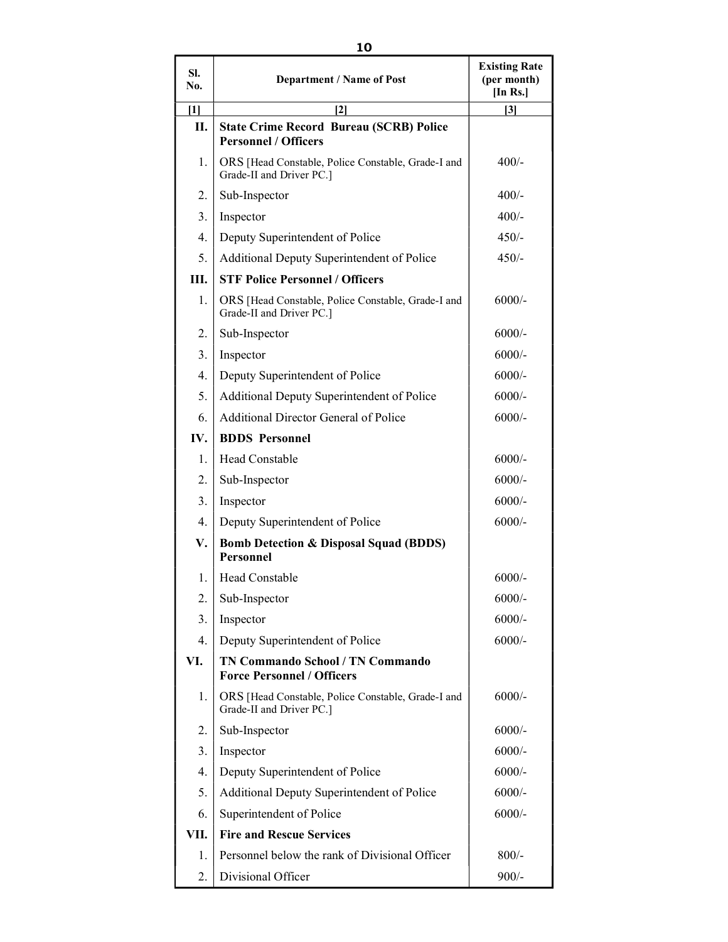| SI.<br>No. | <b>Department / Name of Post</b>                                               | <b>Existing Rate</b><br>(per month)<br>[In Rs.] |
|------------|--------------------------------------------------------------------------------|-------------------------------------------------|
| $[1]$      | $\mathbf{[2]}$                                                                 | $[3]$                                           |
| П.         | <b>State Crime Record Bureau (SCRB) Police</b><br><b>Personnel / Officers</b>  |                                                 |
| 1.         | ORS [Head Constable, Police Constable, Grade-I and<br>Grade-II and Driver PC.] | $400/-$                                         |
| 2.         | Sub-Inspector                                                                  | $400/-$                                         |
| 3.         | Inspector                                                                      | $400/-$                                         |
| 4.         | Deputy Superintendent of Police                                                | $450/-$                                         |
| 5.         | Additional Deputy Superintendent of Police                                     | $450/-$                                         |
| III.       | <b>STF Police Personnel / Officers</b>                                         |                                                 |
| 1.         | ORS [Head Constable, Police Constable, Grade-I and<br>Grade-II and Driver PC.] | $6000/-$                                        |
| 2.         | Sub-Inspector                                                                  | $6000/-$                                        |
| 3.         | Inspector                                                                      | $6000/-$                                        |
| 4.         | Deputy Superintendent of Police                                                | $6000/-$                                        |
| 5.         | Additional Deputy Superintendent of Police                                     | $6000/-$                                        |
| 6.         | <b>Additional Director General of Police</b>                                   | $6000/-$                                        |
| IV.        | <b>BDDS</b> Personnel                                                          |                                                 |
| 1.         | <b>Head Constable</b>                                                          | $6000/-$                                        |
| 2.         | Sub-Inspector                                                                  | $6000/-$                                        |
| 3.         | Inspector                                                                      | $6000/-$                                        |
| 4.         | Deputy Superintendent of Police                                                | $6000/-$                                        |
| V.         | <b>Bomb Detection &amp; Disposal Squad (BDDS)</b><br><b>Personnel</b>          |                                                 |
| 1.         | Head Constable                                                                 | $6000/-$                                        |
| 2.         | Sub-Inspector                                                                  | $6000/-$                                        |
| 3.         | Inspector                                                                      | $6000/-$                                        |
| 4.         | Deputy Superintendent of Police                                                | $6000/-$                                        |
| VI.        | <b>TN Commando School / TN Commando</b><br><b>Force Personnel / Officers</b>   |                                                 |
| 1.         | ORS [Head Constable, Police Constable, Grade-I and<br>Grade-II and Driver PC.] | $6000/-$                                        |
| 2.         | Sub-Inspector                                                                  | $6000/-$                                        |
| 3.         | Inspector                                                                      | $6000/-$                                        |
| 4.         | Deputy Superintendent of Police                                                | $6000/-$                                        |
| 5.         | Additional Deputy Superintendent of Police                                     | $6000/-$                                        |
| 6.         | Superintendent of Police                                                       | $6000/-$                                        |
| VII.       | <b>Fire and Rescue Services</b>                                                |                                                 |
| 1.         | Personnel below the rank of Divisional Officer                                 | $800/-$                                         |
| 2.         | Divisional Officer                                                             | $900/-$                                         |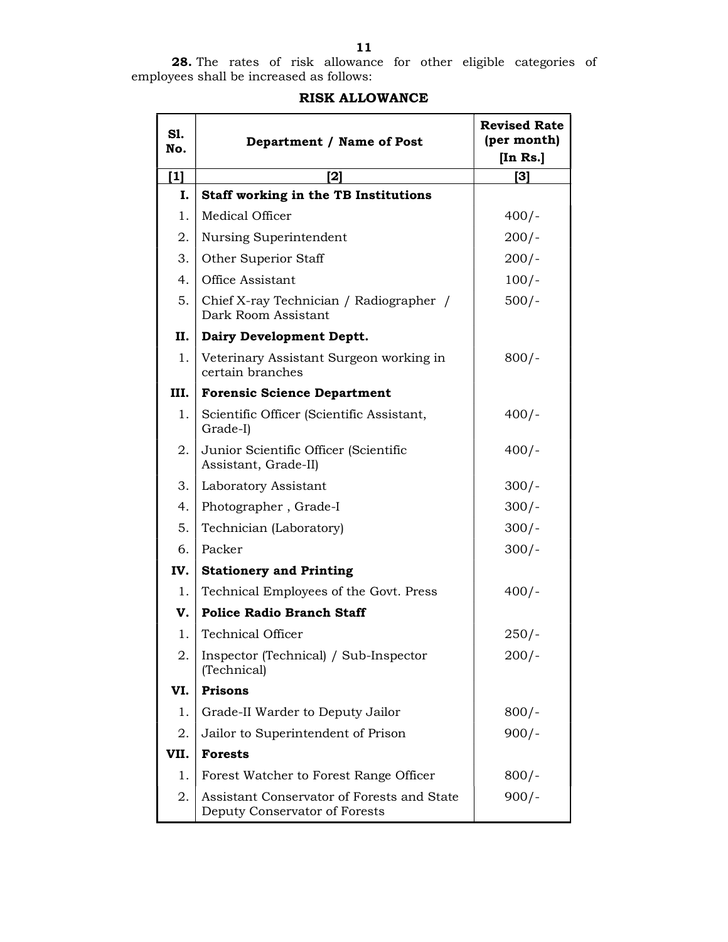| S1.<br>No. | Department / Name of Post                                                   | <b>Revised Rate</b><br>(per month)<br>[In Rs.] |
|------------|-----------------------------------------------------------------------------|------------------------------------------------|
| $[1]$      | [2]                                                                         | [3]                                            |
| I.         | Staff working in the TB Institutions                                        |                                                |
| 1.         | Medical Officer                                                             | $400/-$                                        |
| 2.         | Nursing Superintendent                                                      | $200/-$                                        |
| 3.         | Other Superior Staff                                                        | $200/-$                                        |
| 4.         | Office Assistant                                                            | $100/-$                                        |
| 5.         | Chief X-ray Technician / Radiographer /<br>Dark Room Assistant              | $500/-$                                        |
| П.         | Dairy Development Deptt.                                                    |                                                |
| 1.         | Veterinary Assistant Surgeon working in<br>certain branches                 | $800/-$                                        |
| III.       | <b>Forensic Science Department</b>                                          |                                                |
| 1.         | Scientific Officer (Scientific Assistant,<br>Grade-I)                       | $400/-$                                        |
| 2.         | Junior Scientific Officer (Scientific<br>Assistant, Grade-II)               | $400/-$                                        |
| 3.         | Laboratory Assistant                                                        | $300/-$                                        |
| 4.         | Photographer, Grade-I                                                       | $300/-$                                        |
| 5.         | Technician (Laboratory)                                                     | $300/-$                                        |
| 6.         | Packer                                                                      | $300/-$                                        |
| IV.        | <b>Stationery and Printing</b>                                              |                                                |
| 1.         | Technical Employees of the Govt. Press                                      | $400/-$                                        |
| v.         | <b>Police Radio Branch Staff</b>                                            |                                                |
| 1.         | Technical Officer                                                           | $250/-$                                        |
| 2.         | Inspector (Technical) / Sub-Inspector<br>(Technical)                        | $200/-$                                        |
| VI.        | <b>Prisons</b>                                                              |                                                |
| 1.         | Grade-II Warder to Deputy Jailor                                            | $800/-$                                        |
| 2.         | Jailor to Superintendent of Prison                                          | $900/-$                                        |
| VII.       | <b>Forests</b>                                                              |                                                |
| 1.         | Forest Watcher to Forest Range Officer                                      | $800/-$                                        |
| 2.         | Assistant Conservator of Forests and State<br>Deputy Conservator of Forests | $900/-$                                        |

## RISK ALLOWANCE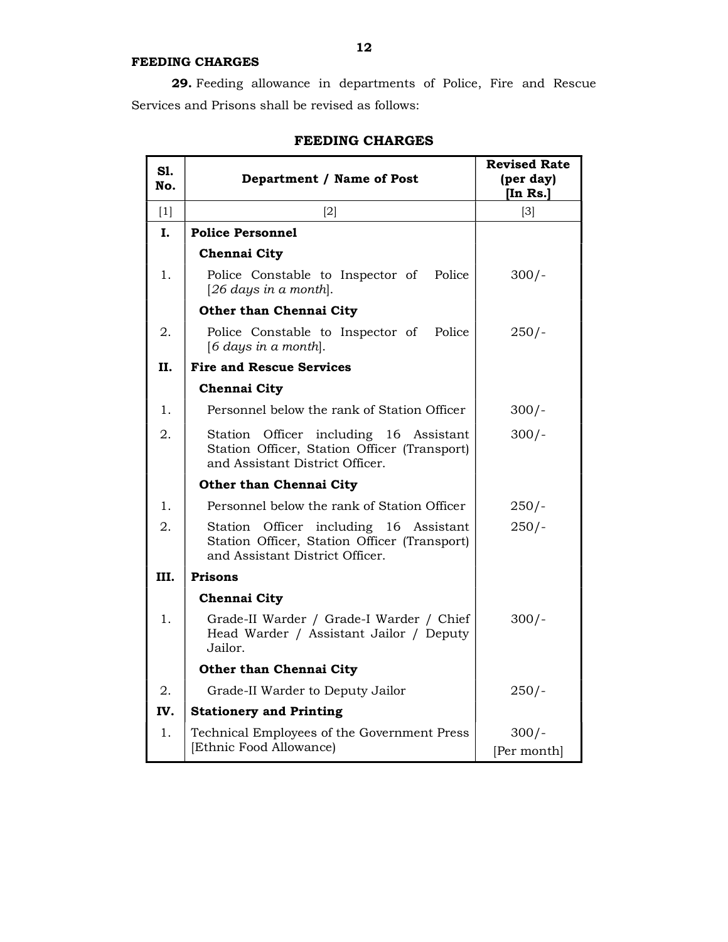## FEEDING CHARGES

29. Feeding allowance in departments of Police, Fire and Rescue Services and Prisons shall be revised as follows:

| S1.<br>No.        | Department / Name of Post                                                                                                 | <b>Revised Rate</b><br>(per day)<br>[In Rs.] |
|-------------------|---------------------------------------------------------------------------------------------------------------------------|----------------------------------------------|
| $\lceil 1 \rceil$ | $\lceil 2 \rceil$                                                                                                         | $\lceil 3 \rceil$                            |
| Ι.                | <b>Police Personnel</b>                                                                                                   |                                              |
|                   | Chennai City                                                                                                              |                                              |
| 1.                | Police Constable to Inspector of Police<br>[26 days in a month].                                                          | $300/-$                                      |
|                   | Other than Chennai City                                                                                                   |                                              |
| 2.                | Police Constable to Inspector of<br>Police<br>[6 days in a month].                                                        | $250/-$                                      |
| II.               | <b>Fire and Rescue Services</b>                                                                                           |                                              |
|                   | <b>Chennai City</b>                                                                                                       |                                              |
| 1.                | Personnel below the rank of Station Officer                                                                               | $300/-$                                      |
| 2.                | Station Officer including 16 Assistant<br>Station Officer, Station Officer (Transport)<br>and Assistant District Officer. | $300/-$                                      |
|                   | <b>Other than Chennai City</b>                                                                                            |                                              |
| 1.                | Personnel below the rank of Station Officer                                                                               | $250/-$                                      |
| 2.                | Station Officer including 16 Assistant<br>Station Officer, Station Officer (Transport)<br>and Assistant District Officer. | $250/-$                                      |
| III.              | <b>Prisons</b>                                                                                                            |                                              |
|                   | Chennai City                                                                                                              |                                              |
| 1.                | Grade-II Warder / Grade-I Warder / Chief<br>Head Warder / Assistant Jailor / Deputy<br>Jailor.                            | $300/-$                                      |
|                   | Other than Chennai City                                                                                                   |                                              |
| 2.                | Grade-II Warder to Deputy Jailor                                                                                          | $250/-$                                      |
| IV.               | <b>Stationery and Printing</b>                                                                                            |                                              |
| 1.                | Technical Employees of the Government Press<br>[Ethnic Food Allowance]                                                    | $300/-$<br>[Per month]                       |

## FEEDING CHARGES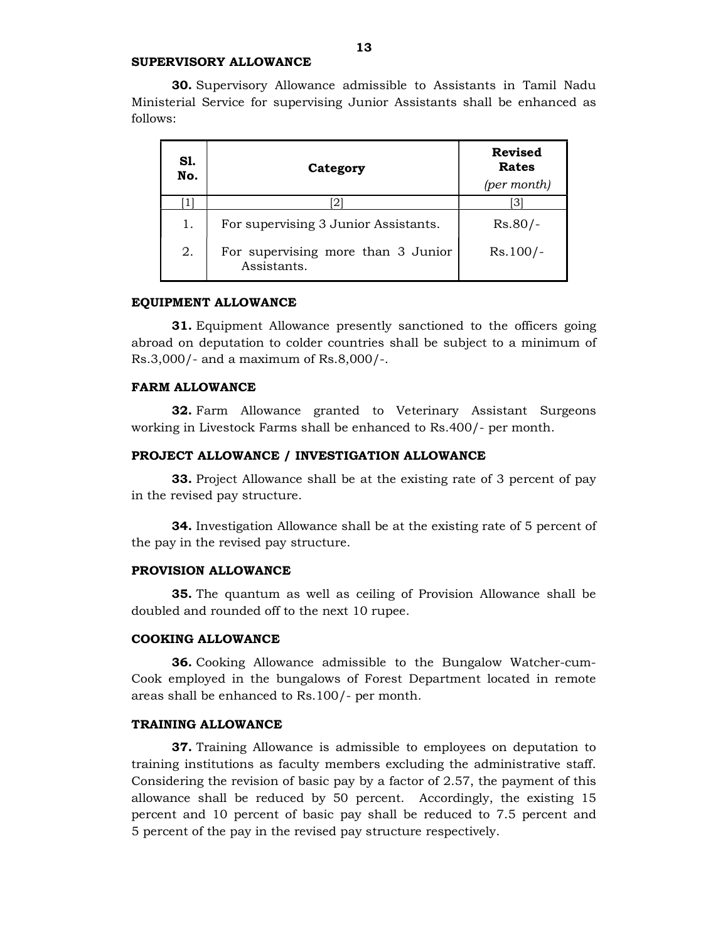#### SUPERVISORY ALLOWANCE

30. Supervisory Allowance admissible to Assistants in Tamil Nadu Ministerial Service for supervising Junior Assistants shall be enhanced as follows:

| S1.<br>No. | Category                                          | <b>Revised</b><br>Rates<br>(per month) |
|------------|---------------------------------------------------|----------------------------------------|
|            | $\overline{2}$                                    |                                        |
| 1.         | For supervising 3 Junior Assistants.              | $Rs.80/-$                              |
| 2.         | For supervising more than 3 Junior<br>Assistants. | $Rs.100/-$                             |

#### EQUIPMENT ALLOWANCE

31. Equipment Allowance presently sanctioned to the officers going abroad on deputation to colder countries shall be subject to a minimum of Rs.3,000/- and a maximum of Rs.8,000/-.

#### FARM ALLOWANCE

32. Farm Allowance granted to Veterinary Assistant Surgeons working in Livestock Farms shall be enhanced to Rs.400/- per month.

#### PROJECT ALLOWANCE / INVESTIGATION ALLOWANCE

33. Project Allowance shall be at the existing rate of 3 percent of pay in the revised pay structure.

34. Investigation Allowance shall be at the existing rate of 5 percent of the pay in the revised pay structure.

#### PROVISION ALLOWANCE

35. The quantum as well as ceiling of Provision Allowance shall be doubled and rounded off to the next 10 rupee.

#### COOKING ALLOWANCE

36. Cooking Allowance admissible to the Bungalow Watcher-cum-Cook employed in the bungalows of Forest Department located in remote areas shall be enhanced to Rs.100/- per month.

#### TRAINING ALLOWANCE

37. Training Allowance is admissible to employees on deputation to training institutions as faculty members excluding the administrative staff. Considering the revision of basic pay by a factor of 2.57, the payment of this allowance shall be reduced by 50 percent. Accordingly, the existing 15 percent and 10 percent of basic pay shall be reduced to 7.5 percent and 5 percent of the pay in the revised pay structure respectively.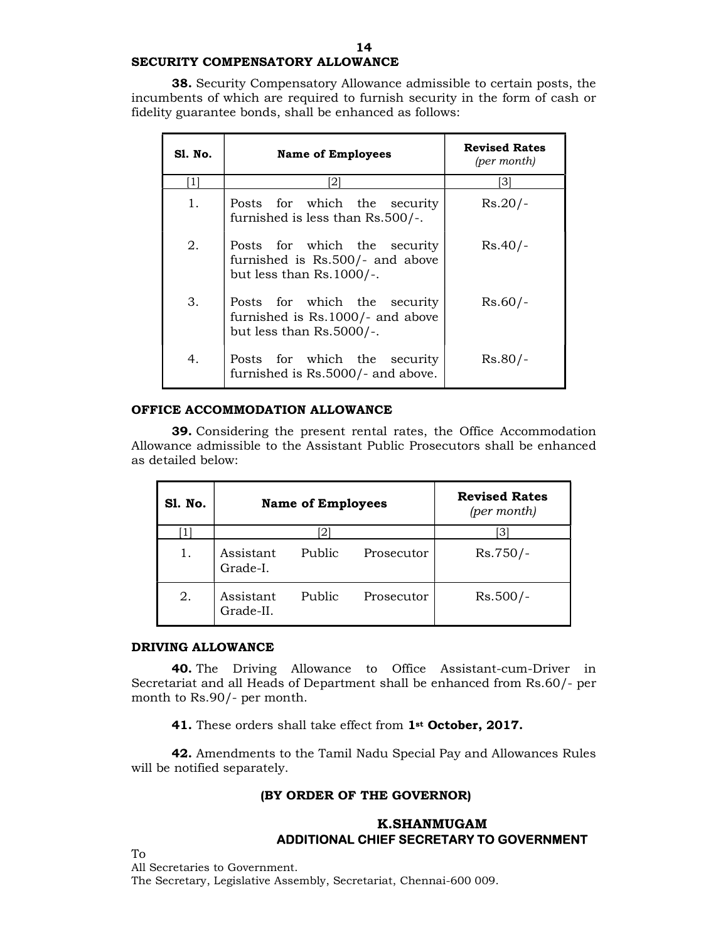## SECURITY COMPENSATORY ALLOWANCE

38. Security Compensatory Allowance admissible to certain posts, the incumbents of which are required to furnish security in the form of cash or fidelity guarantee bonds, shall be enhanced as follows:

| Sl. No. | Name of Employees                                                                               | <b>Revised Rates</b><br>(per month) |
|---------|-------------------------------------------------------------------------------------------------|-------------------------------------|
| [1]     | [2]                                                                                             | 31                                  |
| 1.      | Posts for which the security<br>furnished is less than Rs.500/-.                                | $Rs.20/-$                           |
| 2.      | Posts for which the security<br>furnished is Rs.500/- and above<br>but less than $Rs.1000/-$ .  | $Rs.40/-$                           |
| 3.      | Posts for which the security<br>furnished is Rs.1000/- and above<br>but less than $Rs.5000/-$ . | $Rs.60/-$                           |
| 4.      | Posts for which the security<br>furnished is Rs.5000/- and above.                               | $Rs.80/-$                           |

## OFFICE ACCOMMODATION ALLOWANCE

39. Considering the present rental rates, the Office Accommodation Allowance admissible to the Assistant Public Prosecutors shall be enhanced as detailed below:

| Sl. No. | <b>Name of Employees</b> |          |            | <b>Revised Rates</b><br>(per month) |
|---------|--------------------------|----------|------------|-------------------------------------|
|         |                          | $2\cdot$ |            | [3]                                 |
| 1.      | Assistant<br>Grade-I.    | Public   | Prosecutor | $Rs.750/-$                          |
| 2.      | Assistant<br>Grade-II.   | Public   | Prosecutor | $Rs.500/-$                          |

#### DRIVING ALLOWANCE

40. The Driving Allowance to Office Assistant-cum-Driver in Secretariat and all Heads of Department shall be enhanced from Rs.60/- per month to Rs.90/- per month.

41. These orders shall take effect from 1<sup>st</sup> October, 2017.

42. Amendments to the Tamil Nadu Special Pay and Allowances Rules will be notified separately.

#### (BY ORDER OF THE GOVERNOR)

## K.SHANMUGAM ADDITIONAL CHIEF SECRETARY TO GOVERNMENT

To

All Secretaries to Government.

The Secretary, Legislative Assembly, Secretariat, Chennai-600 009.